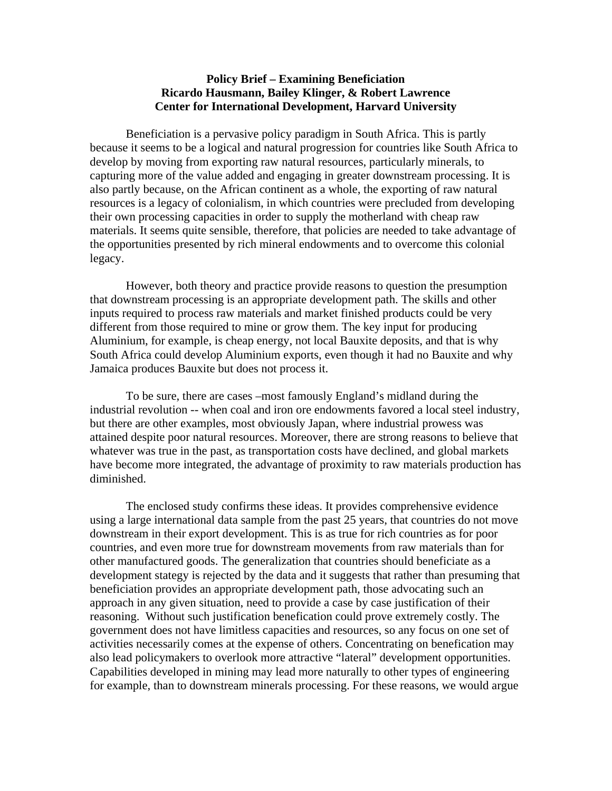## **Policy Brief – Examining Beneficiation Ricardo Hausmann, Bailey Klinger, & Robert Lawrence Center for International Development, Harvard University**

 Beneficiation is a pervasive policy paradigm in South Africa. This is partly because it seems to be a logical and natural progression for countries like South Africa to develop by moving from exporting raw natural resources, particularly minerals, to capturing more of the value added and engaging in greater downstream processing. It is also partly because, on the African continent as a whole, the exporting of raw natural resources is a legacy of colonialism, in which countries were precluded from developing their own processing capacities in order to supply the motherland with cheap raw materials. It seems quite sensible, therefore, that policies are needed to take advantage of the opportunities presented by rich mineral endowments and to overcome this colonial legacy.

 However, both theory and practice provide reasons to question the presumption that downstream processing is an appropriate development path. The skills and other inputs required to process raw materials and market finished products could be very different from those required to mine or grow them. The key input for producing Aluminium, for example, is cheap energy, not local Bauxite deposits, and that is why South Africa could develop Aluminium exports, even though it had no Bauxite and why Jamaica produces Bauxite but does not process it.

 To be sure, there are cases –most famously England's midland during the industrial revolution -- when coal and iron ore endowments favored a local steel industry, but there are other examples, most obviously Japan, where industrial prowess was attained despite poor natural resources. Moreover, there are strong reasons to believe that whatever was true in the past, as transportation costs have declined, and global markets have become more integrated, the advantage of proximity to raw materials production has diminished.

 The enclosed study confirms these ideas. It provides comprehensive evidence using a large international data sample from the past 25 years, that countries do not move downstream in their export development. This is as true for rich countries as for poor countries, and even more true for downstream movements from raw materials than for other manufactured goods. The generalization that countries should beneficiate as a development stategy is rejected by the data and it suggests that rather than presuming that beneficiation provides an appropriate development path, those advocating such an approach in any given situation, need to provide a case by case justification of their reasoning. Without such justification benefication could prove extremely costly. The government does not have limitless capacities and resources, so any focus on one set of activities necessarily comes at the expense of others. Concentrating on benefication may also lead policymakers to overlook more attractive "lateral" development opportunities. Capabilities developed in mining may lead more naturally to other types of engineering for example, than to downstream minerals processing. For these reasons, we would argue